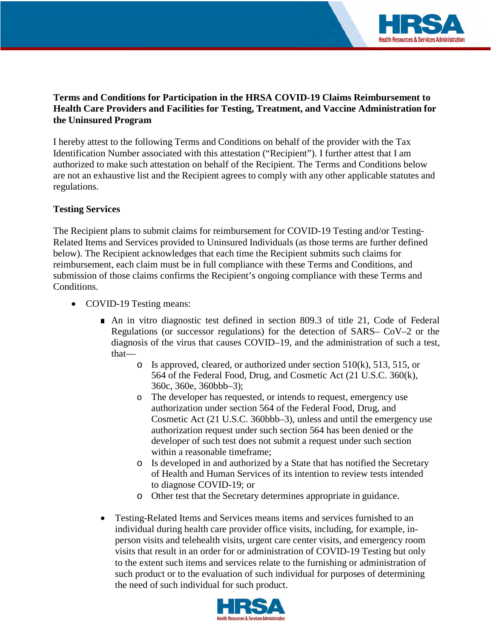

## **Terms and Conditions for Participation in the HRSA COVID-19 Claims Reimbursement to Health Care Providers and Facilities for Testing, Treatment, and Vaccine Administration for the Uninsured Program**

I hereby attest to the following Terms and Conditions on behalf of the provider with the Tax Identification Number associated with this attestation ("Recipient"). I further attest that I am authorized to make such attestation on behalf of the Recipient. The Terms and Conditions below are not an exhaustive list and the Recipient agrees to comply with any other applicable statutes and regulations.

#### **Testing Services**

The Recipient plans to submit claims for reimbursement for COVID-19 Testing and/or Testing-Related Items and Services provided to Uninsured Individuals (as those terms are further defined below). The Recipient acknowledges that each time the Recipient submits such claims for reimbursement, each claim must be in full compliance with these Terms and Conditions, and submission of those claims confirms the Recipient's ongoing compliance with these Terms and Conditions.

- COVID-19 Testing means:
	- An in vitro diagnostic test defined in section 809.3 of title 21, Code of Federal Regulations (or successor regulations) for the detection of SARS– CoV–2 or the diagnosis of the virus that causes COVID–19, and the administration of such a test, that—
		- $\circ$  Is approved, cleared, or authorized under section 510(k), 513, 515, or 564 of the Federal Food, Drug, and Cosmetic Act (21 U.S.C. 360(k), 360c, 360e, 360bbb–3);
		- o The developer has requested, or intends to request, emergency use authorization under section 564 of the Federal Food, Drug, and Cosmetic Act (21 U.S.C. 360bbb–3), unless and until the emergency use authorization request under such section 564 has been denied or the developer of such test does not submit a request under such section within a reasonable timeframe;
		- o Is developed in and authorized by a State that has notified the Secretary of Health and Human Services of its intention to review tests intended to diagnose COVID-19; or
		- o Other test that the Secretary determines appropriate in guidance.
	- Testing-Related Items and Services means items and services furnished to an individual during health care provider office visits, including, for example, inperson visits and telehealth visits, urgent care center visits, and emergency room visits that result in an order for or administration of COVID-19 Testing but only to the extent such items and services relate to the furnishing or administration of such product or to the evaluation of such individual for purposes of determining the need of such individual for such product.

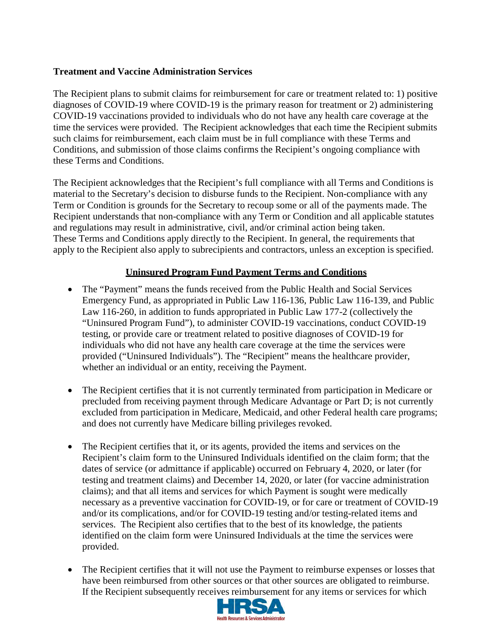#### **Treatment and Vaccine Administration Services**

The Recipient plans to submit claims for reimbursement for care or treatment related to: 1) positive diagnoses of COVID-19 where COVID-19 is the primary reason for treatment or 2) administering COVID-19 vaccinations provided to individuals who do not have any health care coverage at the time the services were provided. The Recipient acknowledges that each time the Recipient submits such claims for reimbursement, each claim must be in full compliance with these Terms and Conditions, and submission of those claims confirms the Recipient's ongoing compliance with these Terms and Conditions.

The Recipient acknowledges that the Recipient's full compliance with all Terms and Conditions is material to the Secretary's decision to disburse funds to the Recipient. Non-compliance with any Term or Condition is grounds for the Secretary to recoup some or all of the payments made. The Recipient understands that non-compliance with any Term or Condition and all applicable statutes and regulations may result in administrative, civil, and/or criminal action being taken. These Terms and Conditions apply directly to the Recipient. In general, the requirements that apply to the Recipient also apply to subrecipients and contractors, unless an exception is specified.

## **Uninsured Program Fund Payment Terms and Conditions**

- The "Payment" means the funds received from the Public Health and Social Services Emergency Fund, as appropriated in Public Law 116-136, Public Law 116-139, and Public Law 116-260, in addition to funds appropriated in Public Law 177-2 (collectively the "Uninsured Program Fund"), to administer COVID-19 vaccinations, conduct COVID-19 testing, or provide care or treatment related to positive diagnoses of COVID-19 for individuals who did not have any health care coverage at the time the services were provided ("Uninsured Individuals"). The "Recipient" means the healthcare provider, whether an individual or an entity, receiving the Payment.
- The Recipient certifies that it is not currently terminated from participation in Medicare or precluded from receiving payment through Medicare Advantage or Part D; is not currently excluded from participation in Medicare, Medicaid, and other Federal health care programs; and does not currently have Medicare billing privileges revoked.
- The Recipient certifies that it, or its agents, provided the items and services on the Recipient's claim form to the Uninsured Individuals identified on the claim form; that the dates of service (or admittance if applicable) occurred on February 4, 2020, or later (for testing and treatment claims) and December 14, 2020, or later (for vaccine administration claims); and that all items and services for which Payment is sought were medically necessary as a preventive vaccination for COVID-19, or for care or treatment of COVID-19 and/or its complications, and/or for COVID-19 testing and/or testing-related items and services. The Recipient also certifies that to the best of its knowledge, the patients identified on the claim form were Uninsured Individuals at the time the services were provided.
- The Recipient certifies that it will not use the Payment to reimburse expenses or losses that have been reimbursed from other sources or that other sources are obligated to reimburse. If the Recipient subsequently receives reimbursement for any items or services for which

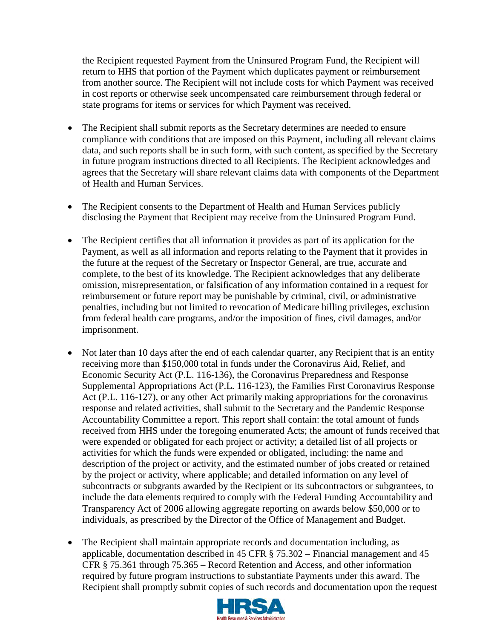the Recipient requested Payment from the Uninsured Program Fund, the Recipient will return to HHS that portion of the Payment which duplicates payment or reimbursement from another source. The Recipient will not include costs for which Payment was received in cost reports or otherwise seek uncompensated care reimbursement through federal or state programs for items or services for which Payment was received.

- The Recipient shall submit reports as the Secretary determines are needed to ensure compliance with conditions that are imposed on this Payment, including all relevant claims data, and such reports shall be in such form, with such content, as specified by the Secretary in future program instructions directed to all Recipients. The Recipient acknowledges and agrees that the Secretary will share relevant claims data with components of the Department of Health and Human Services.
- The Recipient consents to the Department of Health and Human Services publicly disclosing the Payment that Recipient may receive from the Uninsured Program Fund.
- The Recipient certifies that all information it provides as part of its application for the Payment, as well as all information and reports relating to the Payment that it provides in the future at the request of the Secretary or Inspector General, are true, accurate and complete, to the best of its knowledge. The Recipient acknowledges that any deliberate omission, misrepresentation, or falsification of any information contained in a request for reimbursement or future report may be punishable by criminal, civil, or administrative penalties, including but not limited to revocation of Medicare billing privileges, exclusion from federal health care programs, and/or the imposition of fines, civil damages, and/or imprisonment.
- Not later than 10 days after the end of each calendar quarter, any Recipient that is an entity receiving more than \$150,000 total in funds under the Coronavirus Aid, Relief, and Economic Security Act (P.L. 116-136), the Coronavirus Preparedness and Response Supplemental Appropriations Act (P.L. 116-123), the Families First Coronavirus Response Act (P.L. 116-127), or any other Act primarily making appropriations for the coronavirus response and related activities, shall submit to the Secretary and the Pandemic Response Accountability Committee a report. This report shall contain: the total amount of funds received from HHS under the foregoing enumerated Acts; the amount of funds received that were expended or obligated for each project or activity; a detailed list of all projects or activities for which the funds were expended or obligated, including: the name and description of the project or activity, and the estimated number of jobs created or retained by the project or activity, where applicable; and detailed information on any level of subcontracts or subgrants awarded by the Recipient or its subcontractors or subgrantees, to include the data elements required to comply with the Federal Funding Accountability and Transparency Act of 2006 allowing aggregate reporting on awards below \$50,000 or to individuals, as prescribed by the Director of the Office of Management and Budget.
- The Recipient shall maintain appropriate records and documentation including, as applicable, documentation described in 45 CFR § 75.302 – Financial management and 45 CFR § 75.361 through 75.365 – Record Retention and Access, and other information required by future program instructions to substantiate Payments under this award. The Recipient shall promptly submit copies of such records and documentation upon the request

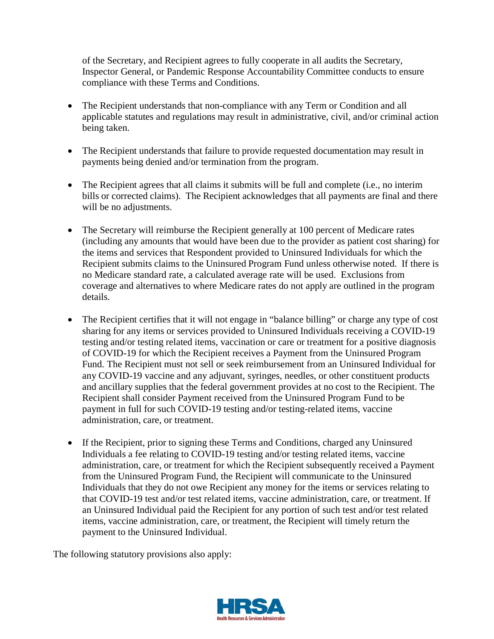of the Secretary, and Recipient agrees to fully cooperate in all audits the Secretary, Inspector General, or Pandemic Response Accountability Committee conducts to ensure compliance with these Terms and Conditions.

- The Recipient understands that non-compliance with any Term or Condition and all applicable statutes and regulations may result in administrative, civil, and/or criminal action being taken.
- The Recipient understands that failure to provide requested documentation may result in payments being denied and/or termination from the program.
- The Recipient agrees that all claims it submits will be full and complete (i.e., no interim bills or corrected claims). The Recipient acknowledges that all payments are final and there will be no adjustments.
- The Secretary will reimburse the Recipient generally at 100 percent of Medicare rates (including any amounts that would have been due to the provider as patient cost sharing) for the items and services that Respondent provided to Uninsured Individuals for which the Recipient submits claims to the Uninsured Program Fund unless otherwise noted. If there is no Medicare standard rate, a calculated average rate will be used. Exclusions from coverage and alternatives to where Medicare rates do not apply are outlined in the program details.
- The Recipient certifies that it will not engage in "balance billing" or charge any type of cost sharing for any items or services provided to Uninsured Individuals receiving a COVID-19 testing and/or testing related items, vaccination or care or treatment for a positive diagnosis of COVID-19 for which the Recipient receives a Payment from the Uninsured Program Fund. The Recipient must not sell or seek reimbursement from an Uninsured Individual for any COVID-19 vaccine and any adjuvant, syringes, needles, or other constituent products and ancillary supplies that the federal government provides at no cost to the Recipient. The Recipient shall consider Payment received from the Uninsured Program Fund to be payment in full for such COVID-19 testing and/or testing-related items, vaccine administration, care, or treatment.
- If the Recipient, prior to signing these Terms and Conditions, charged any Uninsured Individuals a fee relating to COVID-19 testing and/or testing related items, vaccine administration, care, or treatment for which the Recipient subsequently received a Payment from the Uninsured Program Fund, the Recipient will communicate to the Uninsured Individuals that they do not owe Recipient any money for the items or services relating to that COVID-19 test and/or test related items, vaccine administration, care, or treatment. If an Uninsured Individual paid the Recipient for any portion of such test and/or test related items, vaccine administration, care, or treatment, the Recipient will timely return the payment to the Uninsured Individual.

The following statutory provisions also apply:

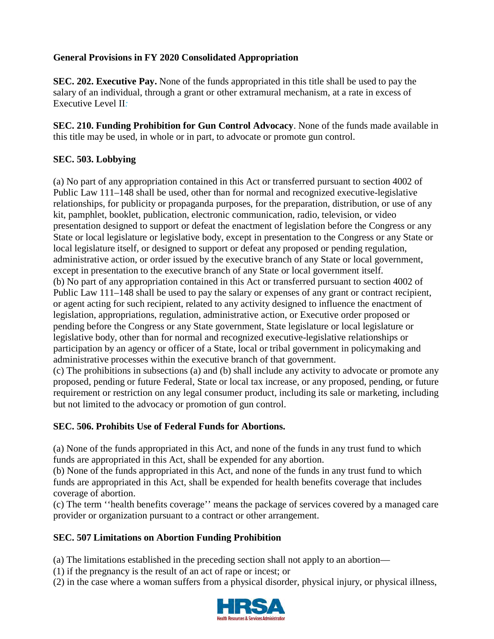# **General Provisions in FY 2020 Consolidated Appropriation**

**SEC. 202. Executive Pay.** None of the funds appropriated in this title shall be used to pay the salary of an individual, through a grant or other extramural mechanism, at a rate in excess of Executive Level II*:* 

**SEC. 210. Funding Prohibition for Gun Control Advocacy**. None of the funds made available in this title may be used, in whole or in part, to advocate or promote gun control.

## **SEC. 503. Lobbying**

(a) No part of any appropriation contained in this Act or transferred pursuant to section 4002 of Public Law 111–148 shall be used, other than for normal and recognized executive-legislative relationships, for publicity or propaganda purposes, for the preparation, distribution, or use of any kit, pamphlet, booklet, publication, electronic communication, radio, television, or video presentation designed to support or defeat the enactment of legislation before the Congress or any State or local legislature or legislative body, except in presentation to the Congress or any State or local legislature itself, or designed to support or defeat any proposed or pending regulation, administrative action, or order issued by the executive branch of any State or local government, except in presentation to the executive branch of any State or local government itself. (b) No part of any appropriation contained in this Act or transferred pursuant to section 4002 of Public Law 111–148 shall be used to pay the salary or expenses of any grant or contract recipient, or agent acting for such recipient, related to any activity designed to influence the enactment of legislation, appropriations, regulation, administrative action, or Executive order proposed or pending before the Congress or any State government, State legislature or local legislature or legislative body, other than for normal and recognized executive-legislative relationships or participation by an agency or officer of a State, local or tribal government in policymaking and administrative processes within the executive branch of that government. (c) The prohibitions in subsections (a) and (b) shall include any activity to advocate or promote any proposed, pending or future Federal, State or local tax increase, or any proposed, pending, or future requirement or restriction on any legal consumer product, including its sale or marketing, including

# **SEC. 506. Prohibits Use of Federal Funds for Abortions.**

but not limited to the advocacy or promotion of gun control.

(a) None of the funds appropriated in this Act, and none of the funds in any trust fund to which funds are appropriated in this Act, shall be expended for any abortion.

(b) None of the funds appropriated in this Act, and none of the funds in any trust fund to which funds are appropriated in this Act, shall be expended for health benefits coverage that includes coverage of abortion.

(c) The term ''health benefits coverage'' means the package of services covered by a managed care provider or organization pursuant to a contract or other arrangement.

## **SEC. 507 Limitations on Abortion Funding Prohibition**

(a) The limitations established in the preceding section shall not apply to an abortion—

- (1) if the pregnancy is the result of an act of rape or incest; or
- (2) in the case where a woman suffers from a physical disorder, physical injury, or physical illness,

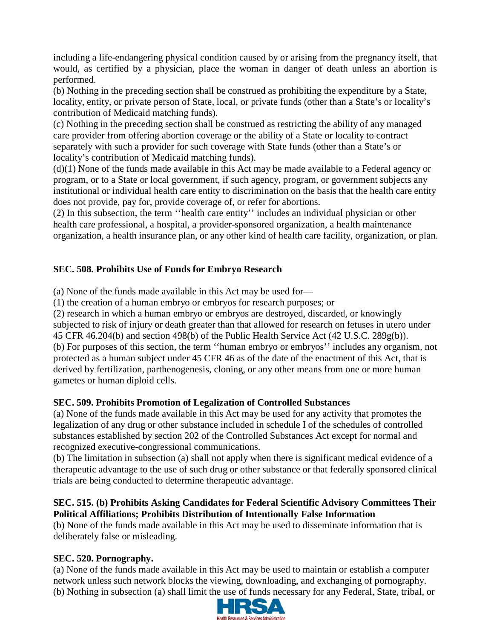including a life-endangering physical condition caused by or arising from the pregnancy itself, that would, as certified by a physician, place the woman in danger of death unless an abortion is performed.

(b) Nothing in the preceding section shall be construed as prohibiting the expenditure by a State, locality, entity, or private person of State, local, or private funds (other than a State's or locality's contribution of Medicaid matching funds).

(c) Nothing in the preceding section shall be construed as restricting the ability of any managed care provider from offering abortion coverage or the ability of a State or locality to contract separately with such a provider for such coverage with State funds (other than a State's or locality's contribution of Medicaid matching funds).

(d)(1) None of the funds made available in this Act may be made available to a Federal agency or program, or to a State or local government, if such agency, program, or government subjects any institutional or individual health care entity to discrimination on the basis that the health care entity does not provide, pay for, provide coverage of, or refer for abortions.

(2) In this subsection, the term ''health care entity'' includes an individual physician or other health care professional, a hospital, a provider-sponsored organization, a health maintenance organization, a health insurance plan, or any other kind of health care facility, organization, or plan.

# **SEC. 508. Prohibits Use of Funds for Embryo Research**

(a) None of the funds made available in this Act may be used for—

(1) the creation of a human embryo or embryos for research purposes; or

(2) research in which a human embryo or embryos are destroyed, discarded, or knowingly subjected to risk of injury or death greater than that allowed for research on fetuses in utero under 45 CFR 46.204(b) and section 498(b) of the Public Health Service Act (42 U.S.C. 289g(b)). (b) For purposes of this section, the term ''human embryo or embryos'' includes any organism, not protected as a human subject under 45 CFR 46 as of the date of the enactment of this Act, that is derived by fertilization, parthenogenesis, cloning, or any other means from one or more human gametes or human diploid cells.

# **SEC. 509. Prohibits Promotion of Legalization of Controlled Substances**

(a) None of the funds made available in this Act may be used for any activity that promotes the legalization of any drug or other substance included in schedule I of the schedules of controlled substances established by section 202 of the Controlled Substances Act except for normal and recognized executive-congressional communications.

(b) The limitation in subsection (a) shall not apply when there is significant medical evidence of a therapeutic advantage to the use of such drug or other substance or that federally sponsored clinical trials are being conducted to determine therapeutic advantage.

## **SEC. 515. (b) Prohibits Asking Candidates for Federal Scientific Advisory Committees Their Political Affiliations; Prohibits Distribution of Intentionally False Information**

(b) None of the funds made available in this Act may be used to disseminate information that is deliberately false or misleading.

## **SEC. 520. Pornography.**

(a) None of the funds made available in this Act may be used to maintain or establish a computer network unless such network blocks the viewing, downloading, and exchanging of pornography. (b) Nothing in subsection (a) shall limit the use of funds necessary for any Federal, State, tribal, or

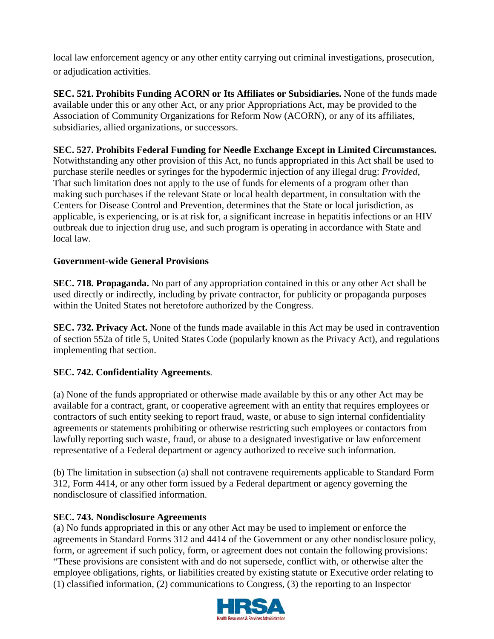local law enforcement agency or any other entity carrying out criminal investigations, prosecution, or adjudication activities.

**SEC. 521. Prohibits Funding ACORN or Its Affiliates or Subsidiaries.** None of the funds made available under this or any other Act, or any prior Appropriations Act, may be provided to the Association of Community Organizations for Reform Now (ACORN), or any of its affiliates, subsidiaries, allied organizations, or successors.

# **SEC. 527. Prohibits Federal Funding for Needle Exchange Except in Limited Circumstances.**

Notwithstanding any other provision of this Act, no funds appropriated in this Act shall be used to purchase sterile needles or syringes for the hypodermic injection of any illegal drug: *Provided*, That such limitation does not apply to the use of funds for elements of a program other than making such purchases if the relevant State or local health department, in consultation with the Centers for Disease Control and Prevention, determines that the State or local jurisdiction, as applicable, is experiencing, or is at risk for, a significant increase in hepatitis infections or an HIV outbreak due to injection drug use, and such program is operating in accordance with State and local law.

## **Government-wide General Provisions**

**SEC. 718. Propaganda.** No part of any appropriation contained in this or any other Act shall be used directly or indirectly, including by private contractor, for publicity or propaganda purposes within the United States not heretofore authorized by the Congress.

**SEC. 732. Privacy Act.** None of the funds made available in this Act may be used in contravention of section 552a of title 5, United States Code (popularly known as the Privacy Act), and regulations implementing that section.

# **SEC. 742. Confidentiality Agreements**.

(a) None of the funds appropriated or otherwise made available by this or any other Act may be available for a contract, grant, or cooperative agreement with an entity that requires employees or contractors of such entity seeking to report fraud, waste, or abuse to sign internal confidentiality agreements or statements prohibiting or otherwise restricting such employees or contactors from lawfully reporting such waste, fraud, or abuse to a designated investigative or law enforcement representative of a Federal department or agency authorized to receive such information.

(b) The limitation in subsection (a) shall not contravene requirements applicable to Standard Form 312, Form 4414, or any other form issued by a Federal department or agency governing the nondisclosure of classified information.

## **SEC. 743. Nondisclosure Agreements**

(a) No funds appropriated in this or any other Act may be used to implement or enforce the agreements in Standard Forms 312 and 4414 of the Government or any other nondisclosure policy, form, or agreement if such policy, form, or agreement does not contain the following provisions: "These provisions are consistent with and do not supersede, conflict with, or otherwise alter the employee obligations, rights, or liabilities created by existing statute or Executive order relating to (1) classified information, (2) communications to Congress, (3) the reporting to an Inspector

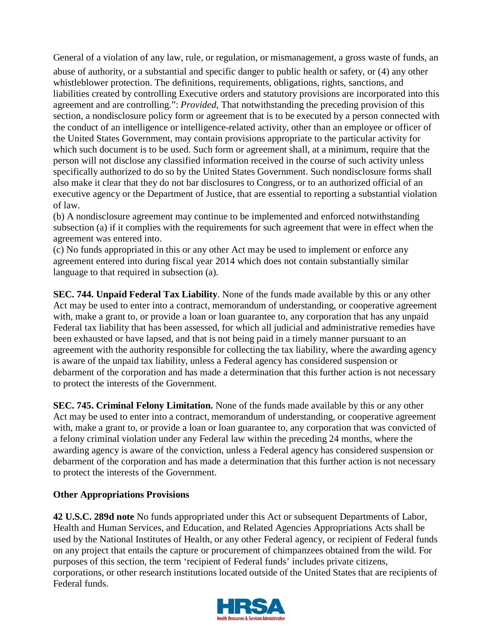General of a violation of any law, rule, or regulation, or mismanagement, a gross waste of funds, an

abuse of authority, or a substantial and specific danger to public health or safety, or (4) any other whistleblower protection. The definitions, requirements, obligations, rights, sanctions, and liabilities created by controlling Executive orders and statutory provisions are incorporated into this agreement and are controlling.": *Provided*, That notwithstanding the preceding provision of this section, a nondisclosure policy form or agreement that is to be executed by a person connected with the conduct of an intelligence or intelligence-related activity, other than an employee or officer of the United States Government, may contain provisions appropriate to the particular activity for which such document is to be used. Such form or agreement shall, at a minimum, require that the person will not disclose any classified information received in the course of such activity unless specifically authorized to do so by the United States Government. Such nondisclosure forms shall also make it clear that they do not bar disclosures to Congress, or to an authorized official of an executive agency or the Department of Justice, that are essential to reporting a substantial violation of law.

(b) A nondisclosure agreement may continue to be implemented and enforced notwithstanding subsection (a) if it complies with the requirements for such agreement that were in effect when the agreement was entered into.

(c) No funds appropriated in this or any other Act may be used to implement or enforce any agreement entered into during fiscal year 2014 which does not contain substantially similar language to that required in subsection (a).

**SEC. 744. Unpaid Federal Tax Liability**. None of the funds made available by this or any other Act may be used to enter into a contract, memorandum of understanding, or cooperative agreement with, make a grant to, or provide a loan or loan guarantee to, any corporation that has any unpaid Federal tax liability that has been assessed, for which all judicial and administrative remedies have been exhausted or have lapsed, and that is not being paid in a timely manner pursuant to an agreement with the authority responsible for collecting the tax liability, where the awarding agency is aware of the unpaid tax liability, unless a Federal agency has considered suspension or debarment of the corporation and has made a determination that this further action is not necessary to protect the interests of the Government.

**SEC. 745. Criminal Felony Limitation.** None of the funds made available by this or any other Act may be used to enter into a contract, memorandum of understanding, or cooperative agreement with, make a grant to, or provide a loan or loan guarantee to, any corporation that was convicted of a felony criminal violation under any Federal law within the preceding 24 months, where the awarding agency is aware of the conviction, unless a Federal agency has considered suspension or debarment of the corporation and has made a determination that this further action is not necessary to protect the interests of the Government.

## **Other Appropriations Provisions**

**42 U.S.C. 289d note** No funds appropriated under this Act or subsequent Departments of Labor, Health and Human Services, and Education, and Related Agencies Appropriations Acts shall be used by the National Institutes of Health, or any other Federal agency, or recipient of Federal funds on any project that entails the capture or procurement of chimpanzees obtained from the wild. For purposes of this section, the term 'recipient of Federal funds' includes private citizens, corporations, or other research institutions located outside of the United States that are recipients of Federal funds.

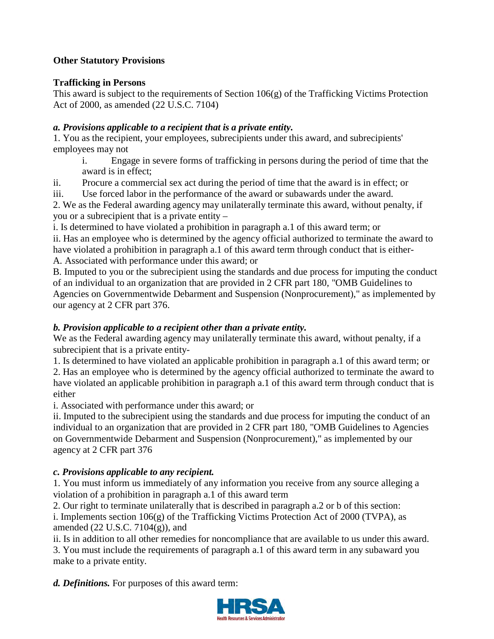# **Other Statutory Provisions**

## **Trafficking in Persons**

This award is subject to the requirements of Section 106(g) of the Trafficking Victims Protection Act of 2000, as amended (22 U.S.C. 7104)

## *a. Provisions applicable to a recipient that is a private entity.*

1. You as the recipient, your employees, subrecipients under this award, and subrecipients' employees may not

- i. Engage in severe forms of trafficking in persons during the period of time that the award is in effect;
- ii. Procure a commercial sex act during the period of time that the award is in effect; or

iii. Use forced labor in the performance of the award or subawards under the award.

2. We as the Federal awarding agency may unilaterally terminate this award, without penalty, if you or a subrecipient that is a private entity –

i. Is determined to have violated a prohibition in paragraph a.1 of this award term; or ii. Has an employee who is determined by the agency official authorized to terminate the award to have violated a prohibition in paragraph a.1 of this award term through conduct that is either-A. Associated with performance under this award; or

B. Imputed to you or the subrecipient using the standards and due process for imputing the conduct of an individual to an organization that are provided in 2 CFR part 180, "OMB Guidelines to Agencies on Governmentwide Debarment and Suspension (Nonprocurement)," as implemented by our agency at 2 CFR part 376.

# *b. Provision applicable to a recipient other than a private entity.*

We as the Federal awarding agency may unilaterally terminate this award, without penalty, if a subrecipient that is a private entity-

1. Is determined to have violated an applicable prohibition in paragraph a.1 of this award term; or

2. Has an employee who is determined by the agency official authorized to terminate the award to have violated an applicable prohibition in paragraph a.1 of this award term through conduct that is either

i. Associated with performance under this award; or

ii. Imputed to the subrecipient using the standards and due process for imputing the conduct of an individual to an organization that are provided in 2 CFR part 180, "OMB Guidelines to Agencies on Governmentwide Debarment and Suspension (Nonprocurement)," as implemented by our agency at 2 CFR part 376

# *c. Provisions applicable to any recipient.*

1. You must inform us immediately of any information you receive from any source alleging a violation of a prohibition in paragraph a.1 of this award term

2. Our right to terminate unilaterally that is described in paragraph a.2 or b of this section:

i. Implements section  $106(g)$  of the Trafficking Victims Protection Act of 2000 (TVPA), as amended (22 U.S.C. 7104(g)), and

ii. Is in addition to all other remedies for noncompliance that are available to us under this award.

3. You must include the requirements of paragraph a.1 of this award term in any subaward you make to a private entity.

*d. Definitions.* For purposes of this award term:

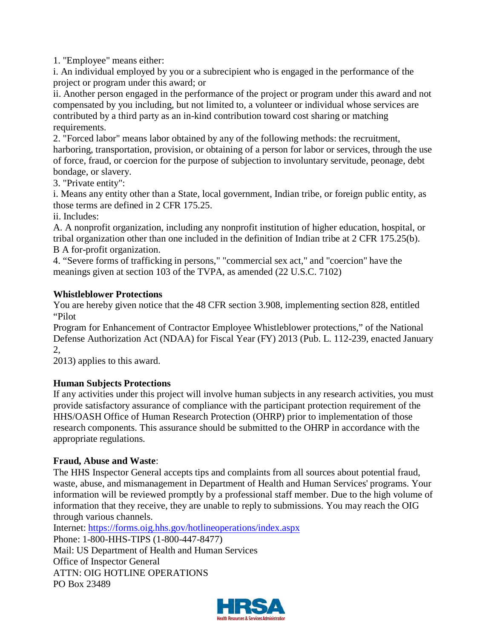1. "Employee" means either:

i. An individual employed by you or a subrecipient who is engaged in the performance of the project or program under this award; or

ii. Another person engaged in the performance of the project or program under this award and not compensated by you including, but not limited to, a volunteer or individual whose services are contributed by a third party as an in-kind contribution toward cost sharing or matching requirements.

2. "Forced labor" means labor obtained by any of the following methods: the recruitment, harboring, transportation, provision, or obtaining of a person for labor or services, through the use of force, fraud, or coercion for the purpose of subjection to involuntary servitude, peonage, debt bondage, or slavery.

3. "Private entity":

i. Means any entity other than a State, local government, Indian tribe, or foreign public entity, as those terms are defined in 2 CFR 175.25.

ii. Includes:

A. A nonprofit organization, including any nonprofit institution of higher education, hospital, or tribal organization other than one included in the definition of Indian tribe at 2 CFR 175.25(b). B A for-profit organization.

4. "Severe forms of trafficking in persons," "commercial sex act," and "coercion" have the meanings given at section 103 of the TVPA, as amended (22 U.S.C. 7102)

## **Whistleblower Protections**

You are hereby given notice that the 48 CFR section 3.908, implementing section 828, entitled "Pilot

Program for Enhancement of Contractor Employee Whistleblower protections," of the National Defense Authorization Act (NDAA) for Fiscal Year (FY) 2013 (Pub. L. 112-239, enacted January 2,

2013) applies to this award.

# **Human Subjects Protections**

If any activities under this project will involve human subjects in any research activities, you must provide satisfactory assurance of compliance with the participant protection requirement of the HHS/OASH Office of Human Research Protection (OHRP) prior to implementation of those research components. This assurance should be submitted to the OHRP in accordance with the appropriate regulations.

## **Fraud, Abuse and Waste**:

The HHS Inspector General accepts tips and complaints from all sources about potential fraud, waste, abuse, and mismanagement in Department of Health and Human Services' programs. Your information will be reviewed promptly by a professional staff member. Due to the high volume of information that they receive, they are unable to reply to submissions. You may reach the OIG through various channels.

Internet: https://forms.oig.hhs.gov/hotlineoperations/index.aspx

Phone: 1-800-HHS-TIPS (1-800-447-8477) Mail: US Department of Health and Human Services Office of Inspector General ATTN: OIG HOTLINE OPERATIONS PO Box 23489